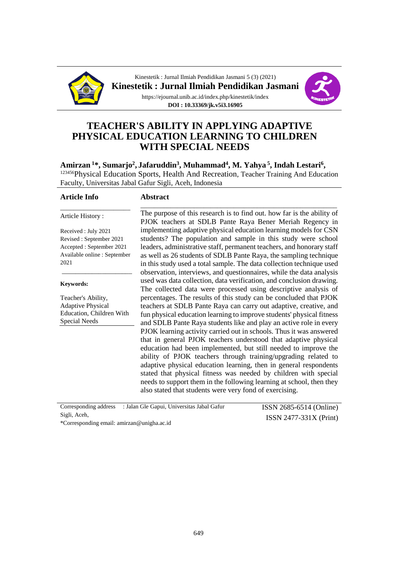

Kinestetik : Jurnal Ilmiah Pendidikan Jasmani 5 (3) (2021) **Kinestetik : Jurnal Ilmiah Pendidikan Jasmani** https://ejournal.unib.ac.id/index.php/kinestetik/index **DOI : 10.33369/jk.v5i3.16905**



# **TEACHER'S ABILITY IN APPLYING ADAPTIVE PHYSICAL EDUCATION LEARNING TO CHILDREN WITH SPECIAL NEEDS**

Amirzan <sup>1</sup>\*, Sumarjo<sup>2</sup>, Jafaruddin<sup>3</sup>, Muhammad<sup>4</sup>, M. Yahya <sup>5</sup>, Indah Lestari<sup>6</sup>, <sup>123456</sup>Physical Education Sports, Health And Recreation, Teacher Training And Education Faculty, Universitas Jabal Gafur Sigli, Aceh, Indonesia

#### **Article Info**

#### **Abstract**

Article History :

Received : July 2021 Revised : September 2021 Accepted : September 2021 Available online : September 2021

\_\_\_\_\_\_\_\_\_\_\_\_\_\_\_\_\_\_\_\_\_

\_\_\_\_\_\_\_\_\_\_\_\_\_\_\_\_\_\_\_\_\_

#### **Keywords:**

Teacher's Ability, Adaptive Physical Education, Children With Special Needs

The purpose of this research is to find out. how far is the ability of PJOK teachers at SDLB Pante Raya Bener Meriah Regency in implementing adaptive physical education learning models for CSN students? The population and sample in this study were school leaders, administrative staff, permanent teachers, and honorary staff as well as 26 students of SDLB Pante Raya, the sampling technique in this study used a total sample. The data collection technique used observation, interviews, and questionnaires, while the data analysis used was data collection, data verification, and conclusion drawing. The collected data were processed using descriptive analysis of percentages. The results of this study can be concluded that PJOK teachers at SDLB Pante Raya can carry out adaptive, creative, and fun physical education learning to improve students' physical fitness and SDLB Pante Raya students like and play an active role in every PJOK learning activity carried out in schools. Thus it was answered that in general PJOK teachers understood that adaptive physical education had been implemented, but still needed to improve the ability of PJOK teachers through training/upgrading related to adaptive physical education learning, then in general respondents stated that physical fitness was needed by children with special needs to support them in the following learning at school, then they also stated that students were very fond of exercising.

\_\_\_\_\_\_\_\_\_\_\_\_\_\_\_\_\_\_\_\_\_\_\_\_\_\_\_\_\_\_\_\_\_\_\_\_\_\_\_\_\_\_\_\_\_\_\_\_\_\_\_\_\_\_\_\_\_\_\_

Corresponding address : Jalan Gle Gapui, Universitas Jabal Gafur Sigli, Aceh,

ISSN 2685-6514 (Online) ISSN 2477-331X (Print)

\*Corresponding email[: amirzan@unigha.ac.id](mailto:amirzan@unigha.ac.id)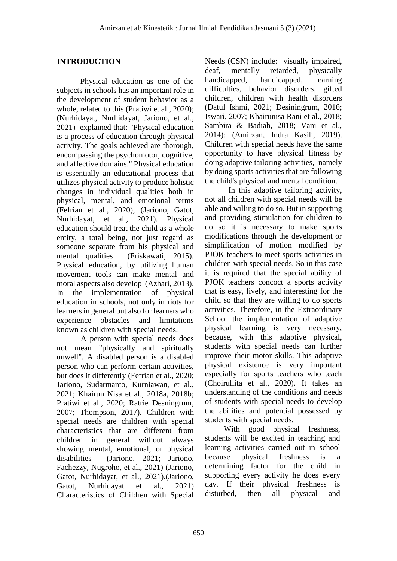#### **INTRODUCTION**

Physical education as one of the subjects in schools has an important role in the development of student behavior as a whole, related to this (Pratiwi et al., 2020); (Nurhidayat, Nurhidayat, Jariono, et al., 2021) explained that: "Physical education is a process of education through physical activity. The goals achieved are thorough, encompassing the psychomotor, cognitive, and affective domains." Physical education is essentially an educational process that utilizes physical activity to produce holistic changes in individual qualities both in physical, mental, and emotional terms (Fefrian et al., 2020); (Jariono, Gatot, Nurhidayat, et al., 2021). Physical education should treat the child as a whole entity, a total being, not just regard as someone separate from his physical and mental qualities (Friskawati, 2015). Physical education, by utilizing human movement tools can make mental and moral aspects also develop (Azhari, 2013). In the implementation of physical education in schools, not only in riots for learners in general but also for learners who experience obstacles and limitations known as children with special needs.

A person with special needs does not mean "physically and spiritually unwell". A disabled person is a disabled person who can perform certain activities, but does it differently (Fefrian et al., 2020; Jariono, Sudarmanto, Kurniawan, et al., 2021; Khairun Nisa et al., 2018a, 2018b; Pratiwi et al., 2020; Ratrie Desningrum, 2007; Thompson, 2017). Children with special needs are children with special characteristics that are different from children in general without always showing mental, emotional, or physical disabilities (Jariono, 2021; Jariono, Fachezzy, Nugroho, et al., 2021) (Jariono, Gatot, Nurhidayat, et al., 2021).(Jariono, Gatot, Nurhidayat et al., 2021) Characteristics of Children with Special Needs (CSN) include: visually impaired, deaf, mentally retarded, physically handicapped, handicapped, learning difficulties, behavior disorders, gifted children, children with health disorders (Datul Ishmi, 2021; Desiningrum, 2016; Iswari, 2007; Khairunisa Rani et al., 2018; Sambira & Badiah, 2018; Vani et al., 2014); (Amirzan, Indra Kasih, 2019). Children with special needs have the same opportunity to have physical fitness by doing adaptive tailoring activities, namely by doing sports activities that are following the child's physical and mental condition.

In this adaptive tailoring activity, not all children with special needs will be able and willing to do so. But in supporting and providing stimulation for children to do so it is necessary to make sports modifications through the development or simplification of motion modified by PJOK teachers to meet sports activities in children with special needs. So in this case it is required that the special ability of PJOK teachers concoct a sports activity that is easy, lively, and interesting for the child so that they are willing to do sports activities. Therefore, in the Extraordinary School the implementation of adaptive physical learning is very necessary, because, with this adaptive physical, students with special needs can further improve their motor skills. This adaptive physical existence is very important especially for sports teachers who teach (Choirullita et al., 2020). It takes an understanding of the conditions and needs of students with special needs to develop the abilities and potential possessed by students with special needs.

With good physical freshness, students will be excited in teaching and learning activities carried out in school because physical freshness is a determining factor for the child in supporting every activity he does every day. If their physical freshness is disturbed, then all physical and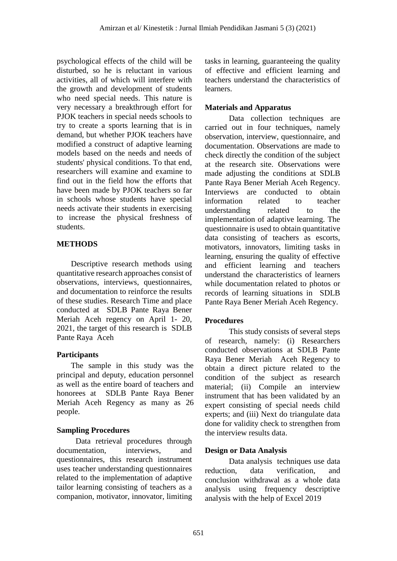psychological effects of the child will be disturbed, so he is reluctant in various activities, all of which will interfere with the growth and development of students who need special needs. This nature is very necessary a breakthrough effort for PJOK teachers in special needs schools to try to create a sports learning that is in demand, but whether PJOK teachers have modified a construct of adaptive learning models based on the needs and needs of students' physical conditions. To that end, researchers will examine and examine to find out in the field how the efforts that have been made by PJOK teachers so far in schools whose students have special needs activate their students in exercising to increase the physical freshness of students.

## **METHODS**

Descriptive research methods using quantitative research approaches consist of observations, interviews, questionnaires, and documentation to reinforce the results of these studies. Research Time and place conducted at SDLB Pante Raya Bener Meriah Aceh regency on April 1- 20, 2021, the target of this research is SDLB Pante Raya Aceh

## **Participants**

The sample in this study was the principal and deputy, education personnel as well as the entire board of teachers and honorees at SDLB Pante Raya Bener Meriah Aceh Regency as many as 26 people.

# **Sampling Procedures**

Data retrieval procedures through documentation, interviews, and questionnaires, this research instrument uses teacher understanding questionnaires related to the implementation of adaptive tailor learning consisting of teachers as a companion, motivator, innovator, limiting tasks in learning, guaranteeing the quality of effective and efficient learning and teachers understand the characteristics of learners.

## **Materials and Apparatus**

Data collection techniques are carried out in four techniques, namely observation, interview, questionnaire, and documentation. Observations are made to check directly the condition of the subject at the research site. Observations were made adjusting the conditions at SDLB Pante Raya Bener Meriah Aceh Regency. Interviews are conducted to obtain information related to teacher understanding related to the implementation of adaptive learning. The questionnaire is used to obtain quantitative data consisting of teachers as escorts, motivators, innovators, limiting tasks in learning, ensuring the quality of effective and efficient learning and teachers understand the characteristics of learners while documentation related to photos or records of learning situations in SDLB Pante Raya Bener Meriah Aceh Regency.

## **Procedures**

This study consists of several steps of research, namely: (i) Researchers conducted observations at SDLB Pante Raya Bener Meriah Aceh Regency to obtain a direct picture related to the condition of the subject as research material; (ii) Compile an interview instrument that has been validated by an expert consisting of special needs child experts; and (iii) Next do triangulate data done for validity check to strengthen from the interview results data.

## **Design or Data Analysis**

Data analysis techniques use data reduction, data verification, and conclusion withdrawal as a whole data analysis using frequency descriptive analysis with the help of Excel 2019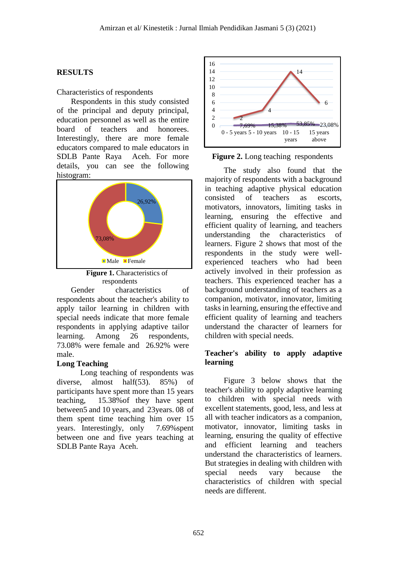#### **RESULTS**

#### Characteristics of respondents

Respondents in this study consisted of the principal and deputy principal, education personnel as well as the entire board of teachers and honorees. Interestingly, there are more female educators compared to male educators in SDLB Pante Raya Aceh. For more details, you can see the following histogram:



**Figure 1.** Characteristics of respondents

Gender characteristics of respondents about the teacher's ability to apply tailor learning in children with special needs indicate that more female respondents in applying adaptive tailor learning. Among 26 respondents, 73.08% were female and 26.92% were male.

#### **Long Teaching**

Long teaching of respondents was diverse, almost half(53). 85%) of participants have spent more than 15 years teaching, 15.38%of they have spent between5 and 10 years, and 23years. 08 of them spent time teaching him over 15 years. Interestingly, only 7.69%spent between one and five years teaching at SDLB Pante Raya Aceh.



**Figure 2.** Long teaching respondents

The study also found that the majority of respondents with a background in teaching adaptive physical education consisted of teachers as escorts, motivators, innovators, limiting tasks in learning, ensuring the effective and efficient quality of learning, and teachers understanding the characteristics of learners. Figure 2 shows that most of the respondents in the study were wellexperienced teachers who had been actively involved in their profession as teachers. This experienced teacher has a background understanding of teachers as a companion, motivator, innovator, limiting tasks in learning, ensuring the effective and efficient quality of learning and teachers understand the character of learners for children with special needs.

#### **Teacher's ability to apply adaptive learning**

Figure 3 below shows that the teacher's ability to apply adaptive learning to children with special needs with excellent statements, good, less, and less at all with teacher indicators as a companion, motivator, innovator, limiting tasks in learning, ensuring the quality of effective and efficient learning and teachers understand the characteristics of learners. But strategies in dealing with children with special needs vary because the characteristics of children with special needs are different.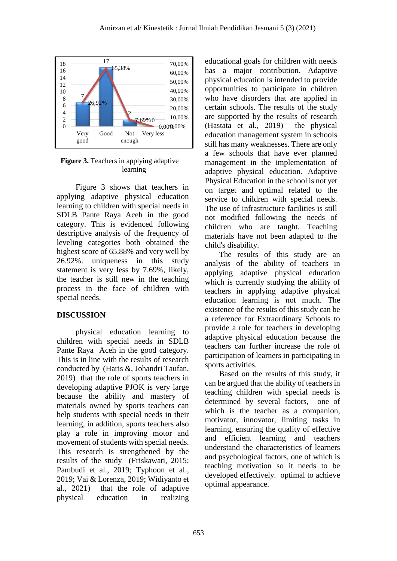

**Figure 3.** Teachers in applying adaptive learning

Figure 3 shows that teachers in applying adaptive physical education learning to children with special needs in SDLB Pante Raya Aceh in the good category. This is evidenced following descriptive analysis of the frequency of leveling categories both obtained the highest score of 65.88% and very well by 26.92%. uniqueness in this study statement is very less by 7.69%, likely, the teacher is still new in the teaching process in the face of children with special needs.

## **DISCUSSION**

physical education learning to children with special needs in SDLB Pante Raya Aceh in the good category. This is in line with the results of research conducted by (Haris &, Johandri Taufan, 2019) that the role of sports teachers in developing adaptive PJOK is very large because the ability and mastery of materials owned by sports teachers can help students with special needs in their learning, in addition, sports teachers also play a role in improving motor and movement of students with special needs. This research is strengthened by the results of the study (Friskawati, 2015; Pambudi et al., 2019; Typhoon et al., 2019; Vai & Lorenza, 2019; Widiyanto et al., 2021) that the role of adaptive physical education in realizing educational goals for children with needs has a major contribution. Adaptive physical education is intended to provide opportunities to participate in children who have disorders that are applied in certain schools. The results of the study are supported by the results of research (Hastata et al., 2019) the physical education management system in schools still has many weaknesses. There are only a few schools that have ever planned management in the implementation of adaptive physical education. Adaptive Physical Education in the school is not yet on target and optimal related to the service to children with special needs. The use of infrastructure facilities is still not modified following the needs of children who are taught. Teaching materials have not been adapted to the child's disability.

The results of this study are an analysis of the ability of teachers in applying adaptive physical education which is currently studying the ability of teachers in applying adaptive physical education learning is not much. The existence of the results of this study can be a reference for Extraordinary Schools to provide a role for teachers in developing adaptive physical education because the teachers can further increase the role of participation of learners in participating in sports activities.

Based on the results of this study, it can be argued that the ability of teachers in teaching children with special needs is determined by several factors, one of which is the teacher as a companion, motivator, innovator, limiting tasks in learning, ensuring the quality of effective and efficient learning and teachers understand the characteristics of learners and psychological factors, one of which is teaching motivation so it needs to be developed effectively. optimal to achieve optimal appearance.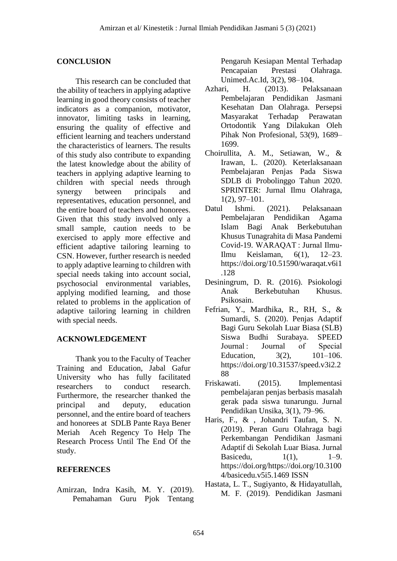#### **CONCLUSION**

This research can be concluded that the ability of teachers in applying adaptive learning in good theory consists of teacher indicators as a companion, motivator, innovator, limiting tasks in learning, ensuring the quality of effective and efficient learning and teachers understand the characteristics of learners. The results of this study also contribute to expanding the latest knowledge about the ability of teachers in applying adaptive learning to children with special needs through synergy between principals and representatives, education personnel, and the entire board of teachers and honorees. Given that this study involved only a small sample, caution needs to be exercised to apply more effective and efficient adaptive tailoring learning to CSN. However, further research is needed to apply adaptive learning to children with special needs taking into account social, psychosocial environmental variables, applying modified learning, and those related to problems in the application of adaptive tailoring learning in children with special needs.

## **ACKNOWLEDGEMENT**

Thank you to the Faculty of Teacher Training and Education, Jabal Gafur University who has fully facilitated researchers to conduct research. Furthermore, the researcher thanked the principal and deputy, education personnel, and the entire board of teachers and honorees at SDLB Pante Raya Bener Meriah Aceh Regency To Help The Research Process Until The End Of the study.

#### **REFERENCES**

Amirzan, Indra Kasih, M. Y. (2019). Pemahaman Guru Pjok Tentang

Pengaruh Kesiapan Mental Terhadap Pencapaian Prestasi Olahraga. Unimed.Ac.Id, 3(2), 98–104.

- Azhari, H. (2013). Pelaksanaan Pembelajaran Pendidikan Jasmani Kesehatan Dan Olahraga. Persepsi Masyarakat Terhadap Perawatan Ortodontik Yang Dilakukan Oleh Pihak Non Profesional, 53(9), 1689– 1699.
- Choirullita, A. M., Setiawan, W., & Irawan, L. (2020). Keterlaksanaan Pembelajaran Penjas Pada Siswa SDLB di Probolinggo Tahun 2020. SPRINTER: Jurnal Ilmu Olahraga, 1(2), 97–101.
- Datul Ishmi. (2021). Pelaksanaan Pembelajaran Pendidikan Agama Islam Bagi Anak Berkebutuhan Khusus Tunagrahita di Masa Pandemi Covid-19. WARAQAT : Jurnal Ilmu-Ilmu Keislaman, 6(1), 12–23. https://doi.org/10.51590/waraqat.v6i1 .128
- Desiningrum, D. R. (2016). Psiokologi Anak Berkebutuhan Khusus. Psikosain.
- Fefrian, Y., Mardhika, R., RH, S., & Sumardi, S. (2020). Penjas Adaptif Bagi Guru Sekolah Luar Biasa (SLB) Siswa Budhi Surabaya. SPEED Journal : Journal of Special Education, 3(2), 101–106. https://doi.org/10.31537/speed.v3i2.2 88
- Friskawati. (2015). Implementasi pembelajaran penjas berbasis masalah gerak pada siswa tunarungu. Jurnal Pendidikan Unsika, 3(1), 79–96.
- Haris, F., & , Johandri Taufan, S. N. (2019). Peran Guru Olahraga bagi Perkembangan Pendidikan Jasmani Adaptif di Sekolah Luar Biasa. Jurnal Basicedu, 1(1), 1–9. https://doi.org/https://doi.org/10.3100 4/basicedu.v5i5.1469 ISSN
- Hastata, L. T., Sugiyanto, & Hidayatullah, M. F. (2019). Pendidikan Jasmani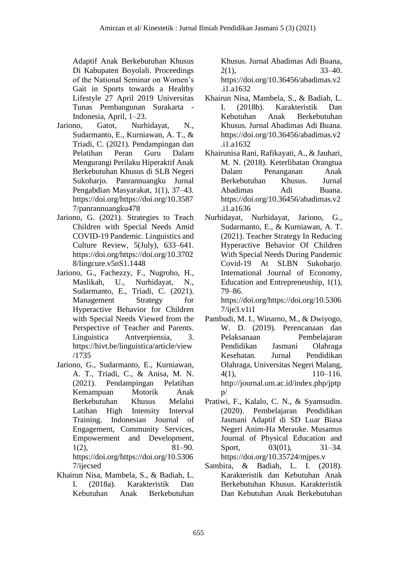Adaptif Anak Berkebutuhan Khusus Di Kabupaten Boyolali. Proceedings of the National Seminar on Women's Gait in Sports towards a Healthy Lifestyle 27 April 2019 Universitas Tunas Pembangunan Surakarta - Indonesia, April, 1–23.

- Jariono, Gatot, Nurhidayat, N., Sudarmanto, E., Kurniawan, A. T., & Triadi, C. (2021). Pendampingan dan Pelatihan Peran Guru Dalam Mengurangi Perilaku Hiperaktif Anak Berkebutuhan Khusus di SLB Negeri Sukoharjo. Panrannuangku Jurnal Pengabdian Masyarakat, 1(1), 37–43. https://doi.org/https://doi.org/10.3587 7/panrannuangku478
- Jariono, G. (2021). Strategies to Teach Children with Special Needs Amid COVID-19 Pandemic. Linguistics and Culture Review, 5(July), 633–641. https://doi.org/https://doi.org/10.3702 8/lingcure.v5nS1.1448
- Jariono, G., Fachezzy, F., Nugroho, H., Maslikah, U., Nurhidayat, N., Sudarmanto, E., Triadi, C. (2021). Management Strategy for Hyperactive Behavior for Children with Special Needs Viewed from the Perspective of Teacher and Parents. Linguistica Antverpiensia, 3. https://hivt.be/linguistica/article/view /1735
- Jariono, G., Sudarmanto, E., Kurniawan, A. T., Triadi, C., & Anisa, M. N. (2021). Pendampingan Pelatihan Kemampuan Motorik Anak Berkebutuhan Khusus Melalui Latihan High Intensity Interval Training. Indonesian Journal of Engagement, Community Services, Empowerment and Development,  $1(2),$  81–90. https://doi.org/https://doi.org/10.5306 7/ijecsed
- Khairun Nisa, Mambela, S., & Badiah, L. I. (2018a). Karakteristik Dan Kebutuhan Anak Berkebutuhan

Khusus. Jurnal Abadimas Adi Buana,  $2(1)$ ,  $33-40$ . https://doi.org/10.36456/abadimas.v2

- .i1.a1632 Khairun Nisa, Mambela, S., & Badiah, L. I. (2018b). Karakteristik Dan
- Kebutuhan Anak Berkebutuhan Khusus. Jurnal Abadimas Adi Buana. https://doi.org/10.36456/abadimas.v2 .i1.a1632
- Khairunisa Rani, Rafikayati, A., & Jauhari, M. N. (2018). Keterlibatan Orangtua Dalam Penanganan Anak Berkebutuhan Khusus. Jurnal Abadimas Adi Buana. https://doi.org/10.36456/abadimas.v2 .i1.a1636
- Nurhidayat, Nurhidayat, Jariono, G., Sudarmanto, E., & Kurniawan, A. T. (2021). Teacher Strategy In Reducing Hyperactive Behavior Of Children With Special Needs During Pandemic Covid-19 At SLBN Sukoharjo. International Journal of Economy, Education and Entrepreneuship, 1(1), 79–86. https://doi.org/https://doi.org/10.5306
- 7/ije3.v1i1 Pambudi, M. I., Winarno, M., & Dwiyogo, W. D. (2019). Perencanaan dan Pelaksanaan Pembelajaran Pendidikan Jasmani Olahraga Kesehatan. Jurnal Pendidikan Olahraga, Universitas Negeri Malang, 4(1), 110–116.
	- http://journal.um.ac.id/index.php/jptp  $p/$
- Pratiwi, F., Kalalo, C. N., & Syamsudin. (2020). Pembelajaran Pendidikan Jasmani Adaptif di SD Luar Biasa Negeri Anim-Ha Merauke. Musamus Journal of Physical Education and Sport, 03(01), 31–34. https://doi.org/10.35724/mjpes.v
- Sambira, & Badiah, L. I. (2018). Karakteristik dan Kebutuhan Anak Berkebutuhan Khusus. Karakteristik Dan Kebutuhan Anak Berkebutuhan